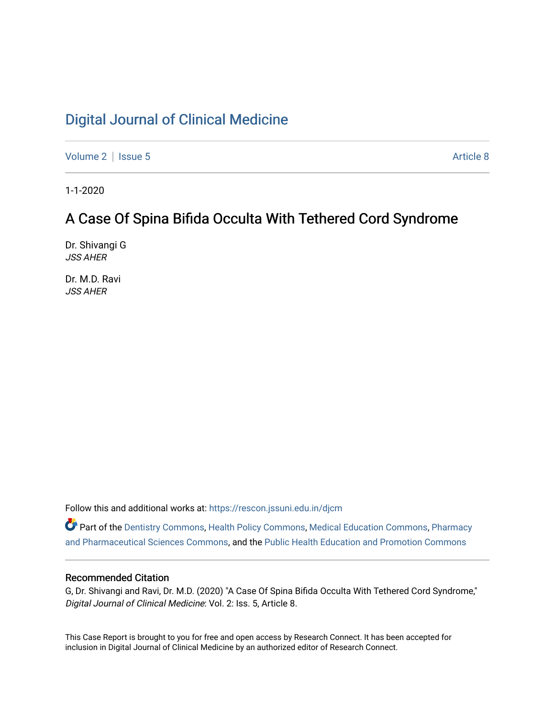# [Digital Journal of Clinical Medicine](https://rescon.jssuni.edu.in/djcm)

[Volume 2](https://rescon.jssuni.edu.in/djcm/vol2) | [Issue 5](https://rescon.jssuni.edu.in/djcm/vol2/iss5) Article 8

1-1-2020

## A Case Of Spina Bifida Occulta With Tethered Cord Syndrome

Dr. Shivangi G JSS AHER

Dr. M.D. Ravi JSS AHER

Follow this and additional works at: [https://rescon.jssuni.edu.in/djcm](https://rescon.jssuni.edu.in/djcm?utm_source=rescon.jssuni.edu.in%2Fdjcm%2Fvol2%2Fiss5%2F8&utm_medium=PDF&utm_campaign=PDFCoverPages) 

Part of the [Dentistry Commons,](http://network.bepress.com/hgg/discipline/651?utm_source=rescon.jssuni.edu.in%2Fdjcm%2Fvol2%2Fiss5%2F8&utm_medium=PDF&utm_campaign=PDFCoverPages) [Health Policy Commons,](http://network.bepress.com/hgg/discipline/395?utm_source=rescon.jssuni.edu.in%2Fdjcm%2Fvol2%2Fiss5%2F8&utm_medium=PDF&utm_campaign=PDFCoverPages) [Medical Education Commons,](http://network.bepress.com/hgg/discipline/1125?utm_source=rescon.jssuni.edu.in%2Fdjcm%2Fvol2%2Fiss5%2F8&utm_medium=PDF&utm_campaign=PDFCoverPages) [Pharmacy](http://network.bepress.com/hgg/discipline/731?utm_source=rescon.jssuni.edu.in%2Fdjcm%2Fvol2%2Fiss5%2F8&utm_medium=PDF&utm_campaign=PDFCoverPages) [and Pharmaceutical Sciences Commons,](http://network.bepress.com/hgg/discipline/731?utm_source=rescon.jssuni.edu.in%2Fdjcm%2Fvol2%2Fiss5%2F8&utm_medium=PDF&utm_campaign=PDFCoverPages) and the [Public Health Education and Promotion Commons](http://network.bepress.com/hgg/discipline/743?utm_source=rescon.jssuni.edu.in%2Fdjcm%2Fvol2%2Fiss5%2F8&utm_medium=PDF&utm_campaign=PDFCoverPages) 

#### Recommended Citation

G, Dr. Shivangi and Ravi, Dr. M.D. (2020) "A Case Of Spina Bifida Occulta With Tethered Cord Syndrome," Digital Journal of Clinical Medicine: Vol. 2: Iss. 5, Article 8.

This Case Report is brought to you for free and open access by Research Connect. It has been accepted for inclusion in Digital Journal of Clinical Medicine by an authorized editor of Research Connect.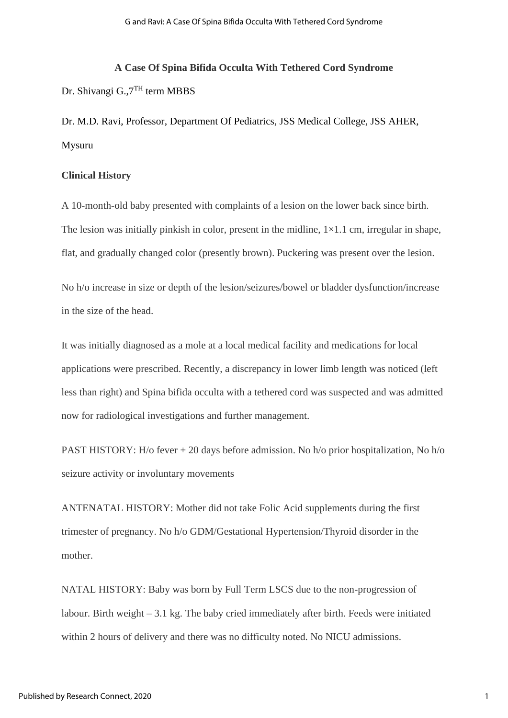# **A Case Of Spina Bifida Occulta With Tethered Cord Syndrome** Dr. Shivangi G.,7<sup>TH</sup> term MBBS

Dr. M.D. Ravi, Professor, Department Of Pediatrics, JSS Medical College, JSS AHER, Mysuru

#### **Clinical History**

A 10-month-old baby presented with complaints of a lesion on the lower back since birth. The lesion was initially pinkish in color, present in the midline,  $1\times1.1$  cm, irregular in shape, flat, and gradually changed color (presently brown). Puckering was present over the lesion.

No h/o increase in size or depth of the lesion/seizures/bowel or bladder dysfunction/increase in the size of the head.

It was initially diagnosed as a mole at a local medical facility and medications for local applications were prescribed. Recently, a discrepancy in lower limb length was noticed (left less than right) and Spina bifida occulta with a tethered cord was suspected and was admitted now for radiological investigations and further management.

PAST HISTORY: H/o fever + 20 days before admission. No h/o prior hospitalization, No h/o seizure activity or involuntary movements

ANTENATAL HISTORY: Mother did not take Folic Acid supplements during the first trimester of pregnancy. No h/o GDM/Gestational Hypertension/Thyroid disorder in the mother.

NATAL HISTORY: Baby was born by Full Term LSCS due to the non-progression of labour. Birth weight – 3.1 kg. The baby cried immediately after birth. Feeds were initiated within 2 hours of delivery and there was no difficulty noted. No NICU admissions.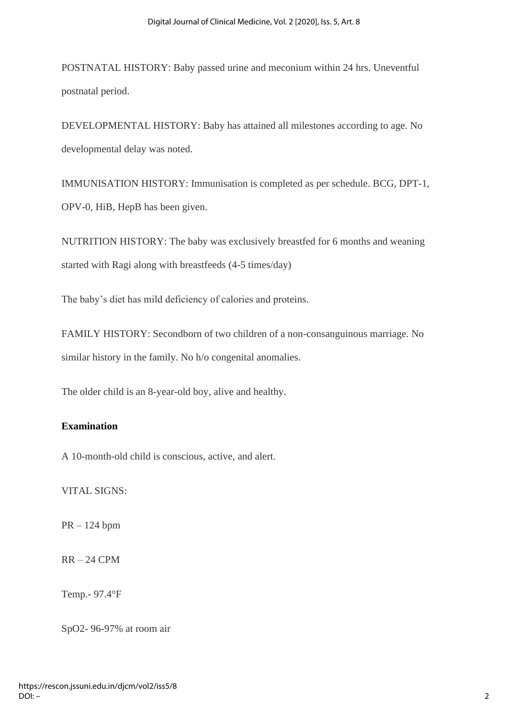POSTNATAL HISTORY: Baby passed urine and meconium within 24 hrs. Uneventful postnatal period.

DEVELOPMENTAL HISTORY: Baby has attained all milestones according to age. No developmental delay was noted.

IMMUNISATION HISTORY: Immunisation is completed as per schedule. BCG, DPT-1, OPV-0, HiB, HepB has been given.

NUTRITION HISTORY: The baby was exclusively breastfed for 6 months and weaning started with Ragi along with breastfeeds (4-5 times/day)

The baby's diet has mild deficiency of calories and proteins.

FAMILY HISTORY: Secondborn of two children of a non-consanguinous marriage. No similar history in the family. No h/o congenital anomalies.

The older child is an 8-year-old boy, alive and healthy.

## **Examination**

A 10-month-old child is conscious, active, and alert.

VITAL SIGNS:

PR – 124 bpm

 $RR - 24$  CPM

Temp.- 97.4°F

SpO2- 96-97% at room air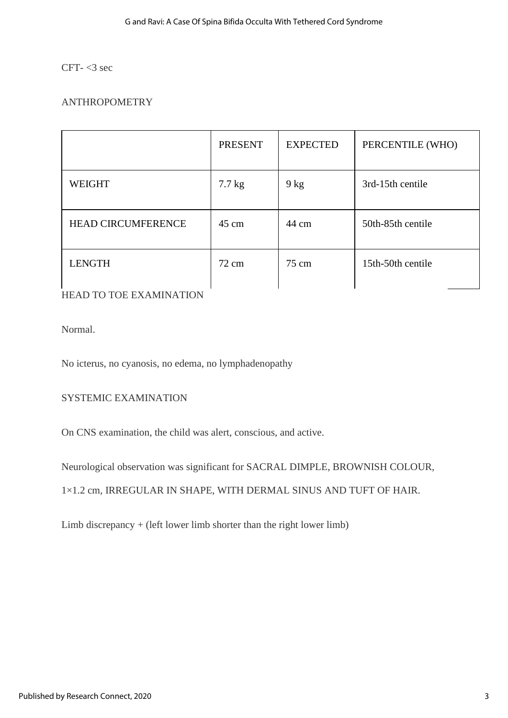## CFT- $<$ 3 sec

## ANTHROPOMETRY

|                           | <b>PRESENT</b>   | <b>EXPECTED</b> | PERCENTILE (WHO)  |
|---------------------------|------------------|-----------------|-------------------|
| <b>WEIGHT</b>             | $7.7 \text{ kg}$ | $9$ kg          | 3rd-15th centile  |
| <b>HEAD CIRCUMFERENCE</b> | $45 \text{ cm}$  | 44 cm           | 50th-85th centile |
| <b>LENGTH</b>             | $72 \text{ cm}$  | $75 \text{ cm}$ | 15th-50th centile |

HEAD TO TOE EXAMINATION

Normal.

No icterus, no cyanosis, no edema, no lymphadenopathy

## SYSTEMIC EXAMINATION

On CNS examination, the child was alert, conscious, and active.

Neurological observation was significant for SACRAL DIMPLE, BROWNISH COLOUR,

1×1.2 cm, IRREGULAR IN SHAPE, WITH DERMAL SINUS AND TUFT OF HAIR.

Limb discrepancy + (left lower limb shorter than the right lower limb)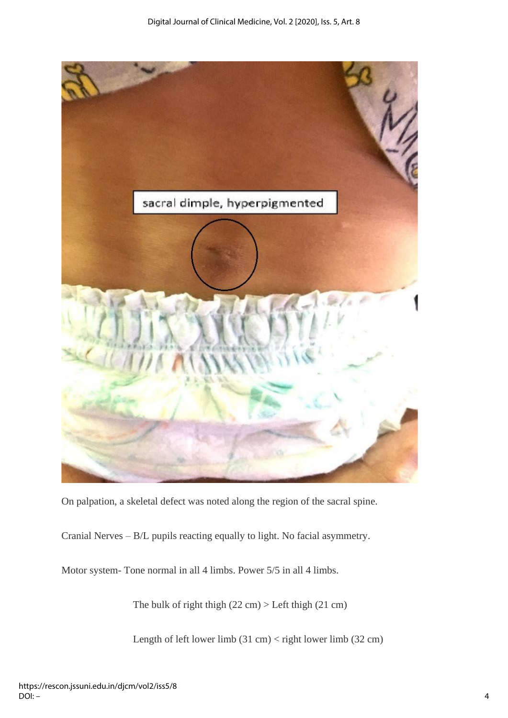

On palpation, a skeletal defect was noted along the region of the sacral spine.

Cranial Nerves – B/L pupils reacting equally to light. No facial asymmetry.

Motor system- Tone normal in all 4 limbs. Power 5/5 in all 4 limbs.

The bulk of right thigh  $(22 \text{ cm})$  > Left thigh  $(21 \text{ cm})$ 

Length of left lower limb  $(31 \text{ cm}) <$  right lower limb  $(32 \text{ cm})$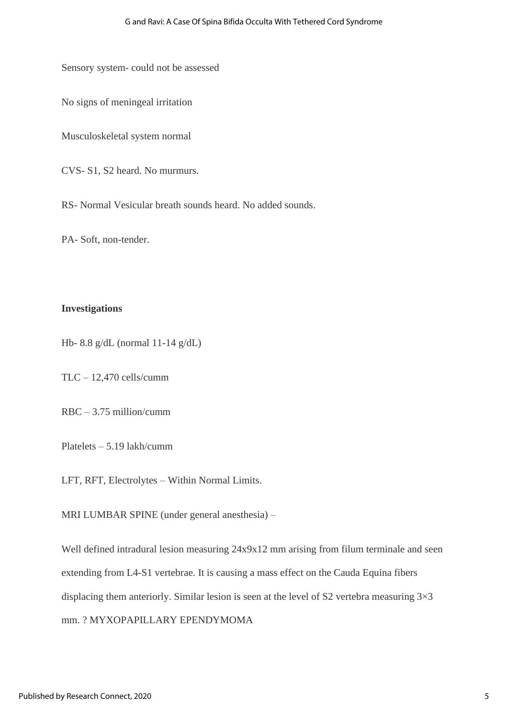Sensory system- could not be assessed

No signs of meningeal irritation

Musculoskeletal system normal

CVS- S1, S2 heard. No murmurs.

RS- Normal Vesicular breath sounds heard. No added sounds.

PA- Soft, non-tender.

#### **Investigations**

Hb- 8.8 g/dL (normal 11-14 g/dL)

TLC – 12,470 cells/cumm

RBC – 3.75 million/cumm

Platelets – 5.19 lakh/cumm

LFT, RFT, Electrolytes – Within Normal Limits.

MRI LUMBAR SPINE (under general anesthesia) –

Well defined intradural lesion measuring  $24x9x12$  mm arising from filum terminale and seen extending from L4-S1 vertebrae. It is causing a mass effect on the Cauda Equina fibers displacing them anteriorly. Similar lesion is seen at the level of S2 vertebra measuring  $3\times3$ mm. ? MYXOPAPILLARY EPENDYMOMA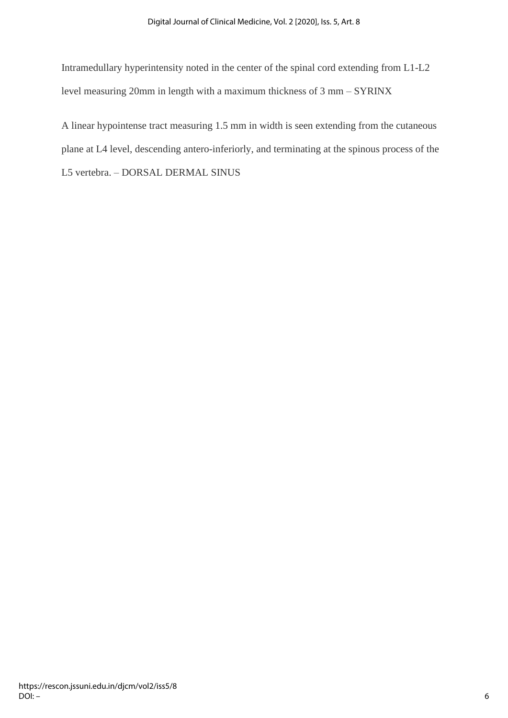Intramedullary hyperintensity noted in the center of the spinal cord extending from L1-L2 level measuring 20mm in length with a maximum thickness of 3 mm – SYRINX

A linear hypointense tract measuring 1.5 mm in width is seen extending from the cutaneous plane at L4 level, descending antero-inferiorly, and terminating at the spinous process of the L5 vertebra. – DORSAL DERMAL SINUS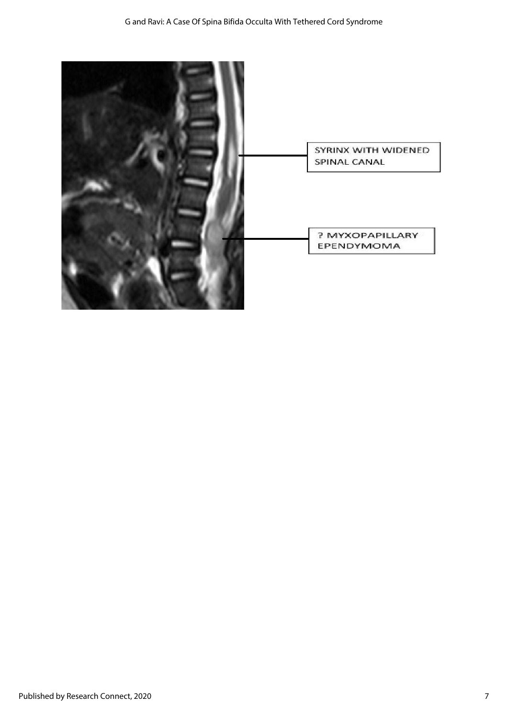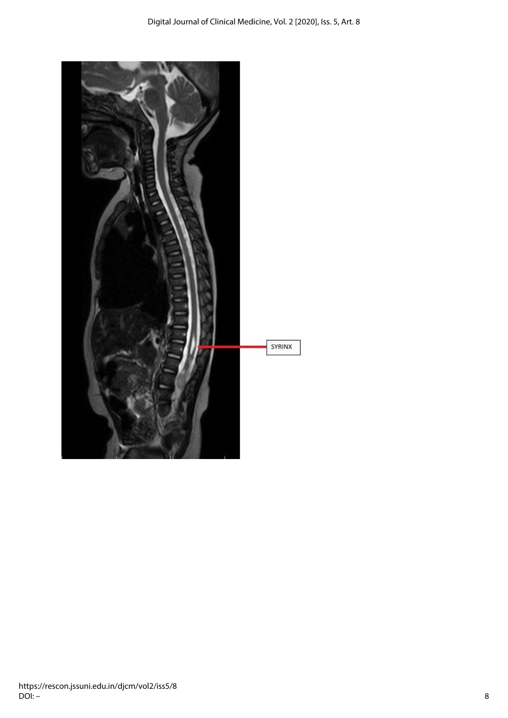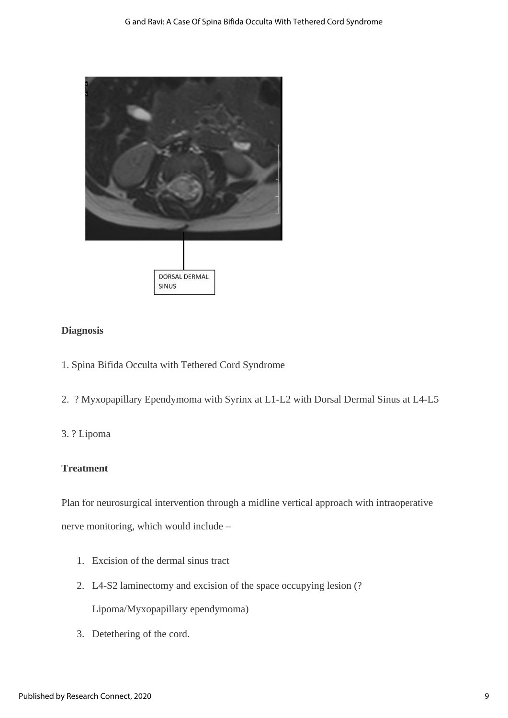

## **Diagnosis**

- 1. Spina Bifida Occulta with Tethered Cord Syndrome
- 2. ? Myxopapillary Ependymoma with Syrinx at L1-L2 with Dorsal Dermal Sinus at L4-L5

## 3. ? Lipoma

#### **Treatment**

Plan for neurosurgical intervention through a midline vertical approach with intraoperative nerve monitoring, which would include –

- 1. Excision of the dermal sinus tract
- 2. L4-S2 laminectomy and excision of the space occupying lesion (? Lipoma/Myxopapillary ependymoma)
- 3. Detethering of the cord.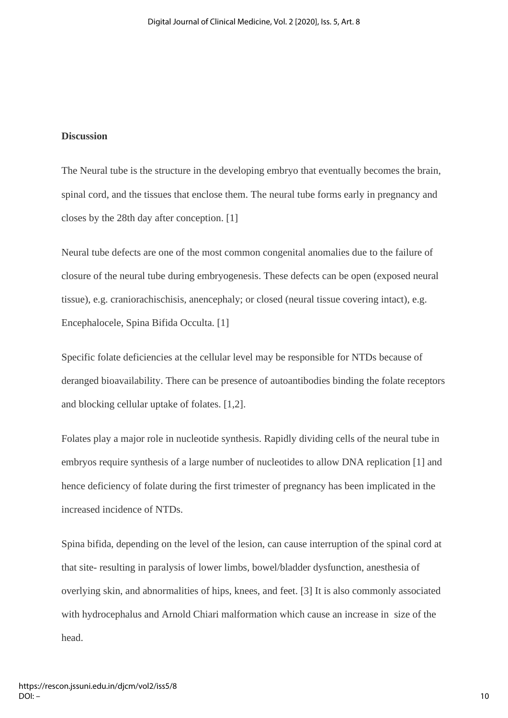#### **Discussion**

The Neural tube is the structure in the developing embryo that eventually becomes the brain, spinal cord, and the tissues that enclose them. The neural tube forms early in pregnancy and closes by the 28th day after conception. [1]

Neural tube defects are one of the most common congenital anomalies due to the failure of closure of the neural tube during embryogenesis. These defects can be open (exposed neural tissue), e.g. craniorachischisis, anencephaly; or closed (neural tissue covering intact), e.g. Encephalocele, Spina Bifida Occulta. [1]

Specific folate deficiencies at the cellular level may be responsible for NTDs because of deranged bioavailability. There can be presence of autoantibodies binding the folate receptors and blocking cellular uptake of folates. [1,2].

Folates play a major role in nucleotide synthesis. Rapidly dividing cells of the neural tube in embryos require synthesis of a large number of nucleotides to allow DNA replication [1] and hence deficiency of folate during the first trimester of pregnancy has been implicated in the increased incidence of NTDs.

Spina bifida, depending on the level of the lesion, can cause interruption of the spinal cord at that site- resulting in paralysis of lower limbs, bowel/bladder dysfunction, anesthesia of overlying skin, and abnormalities of hips, knees, and feet. [3] It is also commonly associated with hydrocephalus and Arnold Chiari malformation which cause an increase in size of the head.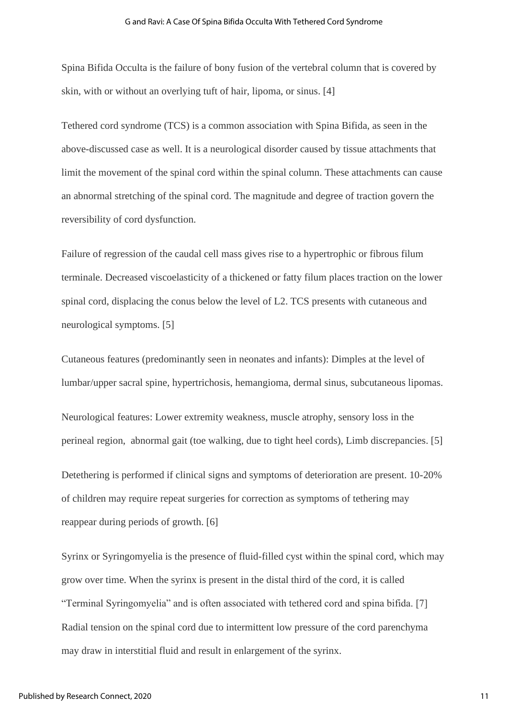Spina Bifida Occulta is the failure of bony fusion of the vertebral column that is covered by skin, with or without an overlying tuft of hair, lipoma, or sinus. [4]

Tethered cord syndrome (TCS) is a common association with Spina Bifida, as seen in the above-discussed case as well. It is a neurological disorder caused by tissue attachments that limit the movement of the spinal cord within the spinal column. These attachments can cause an abnormal stretching of the spinal cord. The magnitude and degree of traction govern the reversibility of cord dysfunction.

Failure of regression of the caudal cell mass gives rise to a hypertrophic or fibrous filum terminale. Decreased viscoelasticity of a thickened or fatty filum places traction on the lower spinal cord, displacing the conus below the level of L2. TCS presents with cutaneous and neurological symptoms. [5]

Cutaneous features (predominantly seen in neonates and infants): Dimples at the level of lumbar/upper sacral spine, hypertrichosis, hemangioma, dermal sinus, subcutaneous lipomas.

Neurological features: Lower extremity weakness, muscle atrophy, sensory loss in the perineal region, abnormal gait (toe walking, due to tight heel cords), Limb discrepancies. [5]

Detethering is performed if clinical signs and symptoms of deterioration are present. 10-20% of children may require repeat surgeries for correction as symptoms of tethering may reappear during periods of growth. [6]

Syrinx or Syringomyelia is the presence of fluid-filled cyst within the spinal cord, which may grow over time. When the syrinx is present in the distal third of the cord, it is called "Terminal Syringomyelia" and is often associated with tethered cord and spina bifida. [7] Radial tension on the spinal cord due to intermittent low pressure of the cord parenchyma may draw in interstitial fluid and result in enlargement of the syrinx.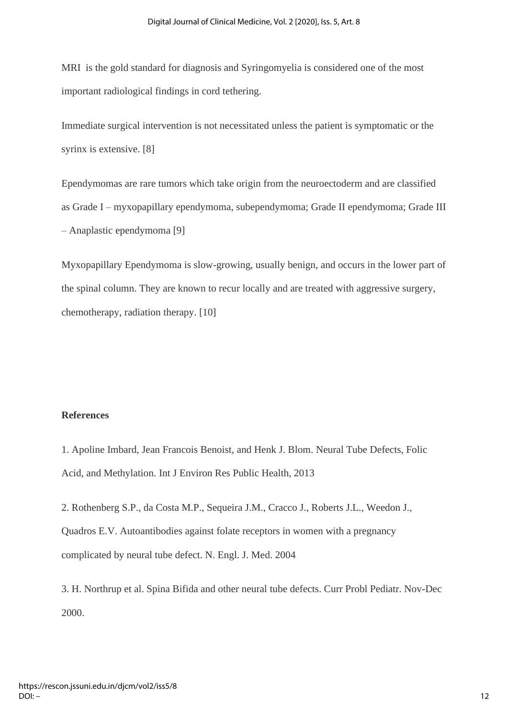MRI is the gold standard for diagnosis and Syringomyelia is considered one of the most important radiological findings in cord tethering.

Immediate surgical intervention is not necessitated unless the patient is symptomatic or the syrinx is extensive. [8]

Ependymomas are rare tumors which take origin from the neuroectoderm and are classified as Grade I – myxopapillary ependymoma, subependymoma; Grade II ependymoma; Grade III – Anaplastic ependymoma [9]

Myxopapillary Ependymoma is slow-growing, usually benign, and occurs in the lower part of the spinal column. They are known to recur locally and are treated with aggressive surgery, chemotherapy, radiation therapy. [10]

#### **References**

1. Apoline Imbard, Jean Francois Benoist, and Henk J. Blom. Neural Tube Defects, Folic Acid, and Methylation. Int J Environ Res Public Health, 2013

2. Rothenberg S.P., da Costa M.P., Sequeira J.M., Cracco J., Roberts J.L., Weedon J., Quadros E.V. Autoantibodies against folate receptors in women with a pregnancy complicated by neural tube defect. N. Engl. J. Med. 2004

3. H. Northrup et al. Spina Bifida and other neural tube defects. Curr Probl Pediatr. Nov-Dec 2000.